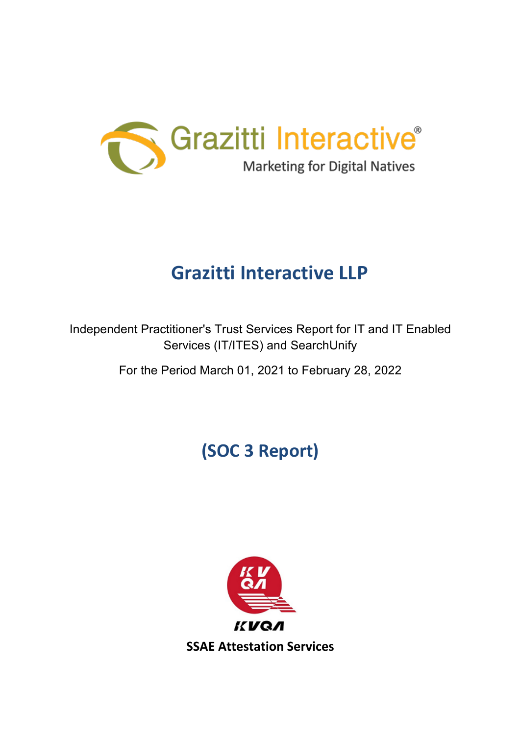

# **Grazitti Interactive LLP**

Independent Practitioner's Trust Services Report for IT and IT Enabled Services (IT/ITES) and SearchUnify

For the Period March 01, 2021 to February 28, 2022

# **(SOC 3 Report)**

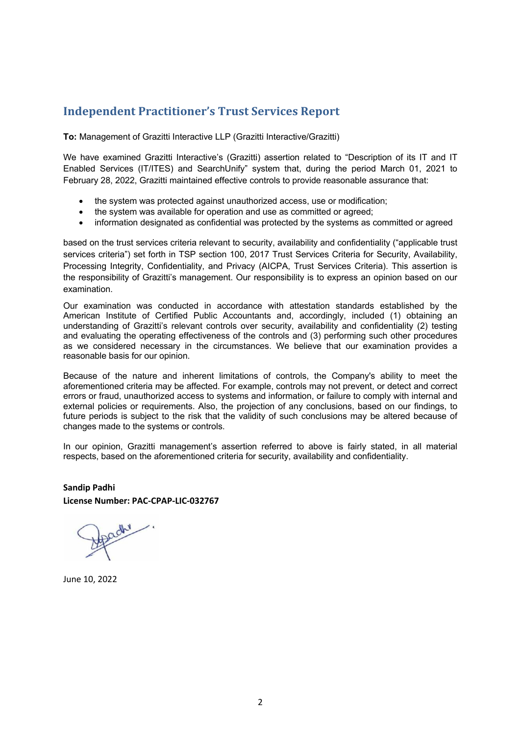## **1. Independent Practitioner's Trust Services Report**

**To:** Management of Grazitti Interactive LLP (Grazitti Interactive/Grazitti)

We have examined Grazitti Interactive's (Grazitti) assertion related to "Description of its IT and IT Enabled Services (IT/ITES) and SearchUnify" system that, during the period March 01, 2021 to February 28, 2022, Grazitti maintained effective controls to provide reasonable assurance that:

- the system was protected against unauthorized access, use or modification;
- the system was available for operation and use as committed or agreed;
- information designated as confidential was protected by the systems as committed or agreed

based on the trust services criteria relevant to security, availability and confidentiality ("applicable trust services criteria") set forth in TSP section 100, 2017 Trust Services Criteria for Security, Availability, Processing Integrity, Confidentiality, and Privacy (AICPA, Trust Services Criteria). This assertion is the responsibility of Grazitti's management. Our responsibility is to express an opinion based on our examination.

Our examination was conducted in accordance with attestation standards established by the American Institute of Certified Public Accountants and, accordingly, included (1) obtaining an understanding of Grazitti's relevant controls over security, availability and confidentiality (2) testing and evaluating the operating effectiveness of the controls and (3) performing such other procedures as we considered necessary in the circumstances. We believe that our examination provides a reasonable basis for our opinion.

Because of the nature and inherent limitations of controls, the Company's ability to meet the aforementioned criteria may be affected. For example, controls may not prevent, or detect and correct errors or fraud, unauthorized access to systems and information, or failure to comply with internal and external policies or requirements. Also, the projection of any conclusions, based on our findings, to future periods is subject to the risk that the validity of such conclusions may be altered because of changes made to the systems or controls.

In our opinion, Grazitti management's assertion referred to above is fairly stated, in all material respects, based on the aforementioned criteria for security, availability and confidentiality.

**Sandip Padhi License Number: PAC-CPAP-LIC-032767**

June 10, 2022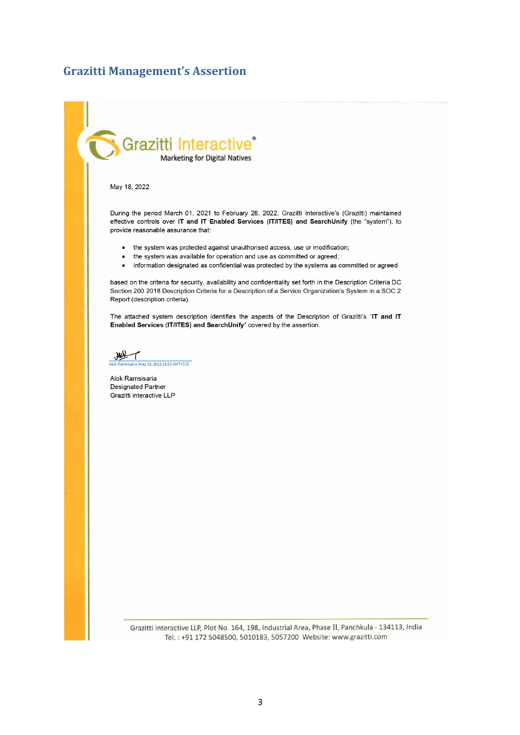### **Grazitti Management's Assertion**

# Grazitti Interac **Marketing for Digital Natives**

#### May 18, 2022

During the period March 01, 2021 to February 28, 2022, Grazitti Interactive's (Grazitti) maintained effective controls over IT and IT Enabled Services (IT/ITES) and SearchUnify (the "system"), to provide reasonable assurance that:

- the system was protected against unauthorised access, use or modification;
- the system was available for operation and use as committed or agreed;  $\bullet$
- information designated as confidential was protected by the systems as committed or agreed  $\bullet$

based on the criteria for security, availability and confidentiality set forth in the Description Criteria DC Section 200 2018 Description Criteria for a Description of a Service Organization's System in a SOC 2 Report (description criteria).

The attached system description identifies the aspects of the Description of Grazitti's "IT and IT Enabled Services (IT/ITES) and SearchUnify" covered by the assertion.

av 18. 2022 19:23 GMT+5.5)

Alok Ramsisaria Designated Partner Grazitti interactive LLP

> Grazitti Interactive LLP, Plot No. 164, 198, Industrial Area, Phase II, Panchkula - 134113, India Tel.: +91 172 5048500, 5010183, 5057200 Website: www.grazitti.com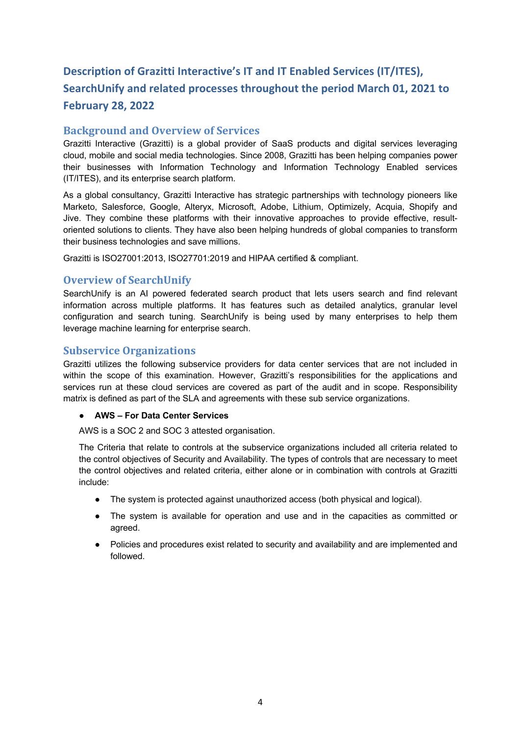# **3. Description of Grazitti Interactive's IT and IT Enabled Services (IT/ITES), SearchUnify and related processes throughout the period March 01, 2021 to February 28, 2022**

#### **Background and Overview of Services**

Grazitti Interactive (Grazitti) is a global provider of SaaS products and digital services leveraging cloud, mobile and social media technologies. Since 2008, Grazitti has been helping companies power their businesses with Information Technology and Information Technology Enabled services (IT/ITES), and its enterprise search platform.

As a global consultancy, Grazitti Interactive has strategic partnerships with technology pioneers like Marketo, Salesforce, Google, Alteryx, Microsoft, Adobe, Lithium, Optimizely, Acquia, Shopify and Jive. They combine these platforms with their innovative approaches to provide effective, resultoriented solutions to clients. They have also been helping hundreds of global companies to transform their business technologies and save millions.

Grazitti is ISO27001:2013, ISO27701:2019 and HIPAA certified & compliant.

#### **Overview of SearchUnify**

SearchUnify is an AI powered federated search product that lets users search and find relevant information across multiple platforms. It has features such as detailed analytics, granular level configuration and search tuning. SearchUnify is being used by many enterprises to help them leverage machine learning for enterprise search.

#### **Subservice Organizations**

Grazitti utilizes the following subservice providers for data center services that are not included in within the scope of this examination. However, Grazitti's responsibilities for the applications and services run at these cloud services are covered as part of the audit and in scope. Responsibility matrix is defined as part of the SLA and agreements with these sub service organizations.

#### ● **AWS – For Data Center Services**

AWS is a SOC 2 and SOC 3 attested organisation.

The Criteria that relate to controls at the subservice organizations included all criteria related to the control objectives of Security and Availability. The types of controls that are necessary to meet the control objectives and related criteria, either alone or in combination with controls at Grazitti include:

- The system is protected against unauthorized access (both physical and logical).
- The system is available for operation and use and in the capacities as committed or agreed.
- Policies and procedures exist related to security and availability and are implemented and followed.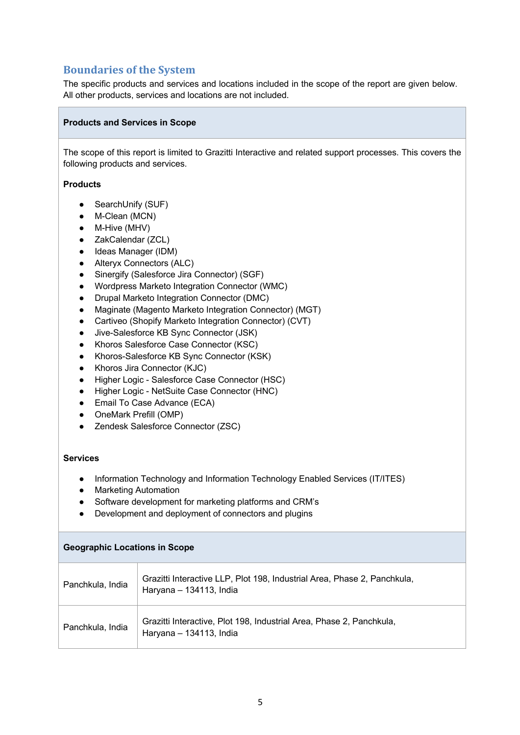# **Boundaries of the System**

The specific products and services and locations included in the scope of the report are given below. All other products, services and locations are not included.

#### **Products and Services in Scope**

The scope of this report is limited to Grazitti Interactive and related support processes. This covers the following products and services.

#### **Products**

- SearchUnify (SUF)
- M-Clean (MCN)
- M-Hive (MHV)
- ZakCalendar (ZCL)
- Ideas Manager (IDM)
- Alteryx Connectors (ALC)
- Sinergify (Salesforce Jira Connector) (SGF)
- Wordpress Marketo Integration Connector (WMC)
- Drupal Marketo Integration Connector (DMC)
- Maginate (Magento Marketo Integration Connector) (MGT)
- Cartiveo (Shopify Marketo Integration Connector) (CVT)
- Jive-Salesforce KB Sync Connector (JSK)
- Khoros Salesforce Case Connector (KSC)
- Khoros-Salesforce KB Sync Connector (KSK)
- Khoros Jira Connector (KJC)
- Higher Logic Salesforce Case Connector (HSC)
- Higher Logic NetSuite Case Connector (HNC)
- Email To Case Advance (ECA)
- OneMark Prefill (OMP)
- Zendesk Salesforce Connector (ZSC)

#### **Services**

- Information Technology and Information Technology Enabled Services (IT/ITES)
- Marketing Automation
- Software development for marketing platforms and CRM's
- Development and deployment of connectors and plugins

| <b>Geographic Locations in Scope</b> |                                                                                                     |
|--------------------------------------|-----------------------------------------------------------------------------------------------------|
| Panchkula, India                     | Grazitti Interactive LLP, Plot 198, Industrial Area, Phase 2, Panchkula,<br>Haryana - 134113, India |
| Panchkula, India                     | Grazitti Interactive, Plot 198, Industrial Area, Phase 2, Panchkula,<br>Haryana - 134113, India     |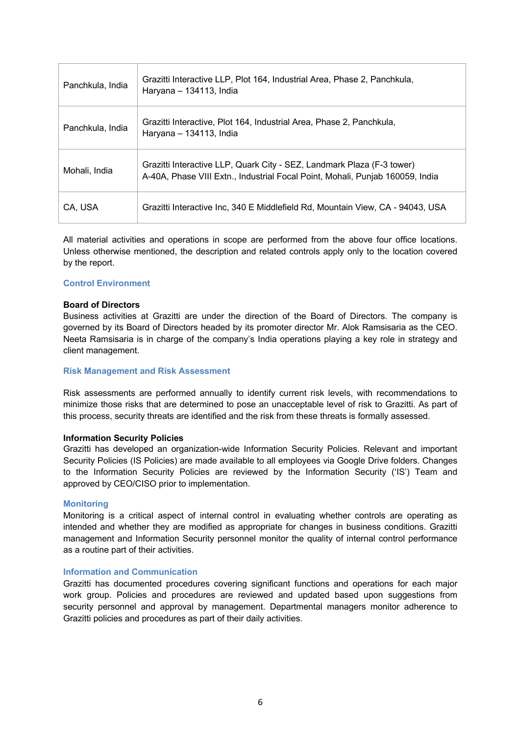| Panchkula, India | Grazitti Interactive LLP, Plot 164, Industrial Area, Phase 2, Panchkula,<br>Haryana - 134113, India                                                     |
|------------------|---------------------------------------------------------------------------------------------------------------------------------------------------------|
| Panchkula, India | Grazitti Interactive, Plot 164, Industrial Area, Phase 2, Panchkula,<br>Haryana - 134113, India                                                         |
| Mohali, India    | Grazitti Interactive LLP, Quark City - SEZ, Landmark Plaza (F-3 tower)<br>A-40A, Phase VIII Extn., Industrial Focal Point, Mohali, Punjab 160059, India |
| CA, USA          | Grazitti Interactive Inc, 340 E Middlefield Rd, Mountain View, CA - 94043, USA                                                                          |

All material activities and operations in scope are performed from the above four office locations. Unless otherwise mentioned, the description and related controls apply only to the location covered by the report.

#### **Control Environment**

#### **Board of Directors**

Business activities at Grazitti are under the direction of the Board of Directors. The company is governed by its Board of Directors headed by its promoter director Mr. Alok Ramsisaria as the CEO. Neeta Ramsisaria is in charge of the company's India operations playing a key role in strategy and client management.

#### **Risk Management and Risk Assessment**

Risk assessments are performed annually to identify current risk levels, with recommendations to minimize those risks that are determined to pose an unacceptable level of risk to Grazitti. As part of this process, security threats are identified and the risk from these threats is formally assessed.

#### **Information Security Policies**

Grazitti has developed an organization-wide Information Security Policies. Relevant and important Security Policies (IS Policies) are made available to all employees via Google Drive folders. Changes to the Information Security Policies are reviewed by the Information Security ('IS') Team and approved by CEO/CISO prior to implementation.

#### **Monitoring**

Monitoring is a critical aspect of internal control in evaluating whether controls are operating as intended and whether they are modified as appropriate for changes in business conditions. Grazitti management and Information Security personnel monitor the quality of internal control performance as a routine part of their activities.

#### **Information and Communication**

Grazitti has documented procedures covering significant functions and operations for each major work group. Policies and procedures are reviewed and updated based upon suggestions from security personnel and approval by management. Departmental managers monitor adherence to Grazitti policies and procedures as part of their daily activities.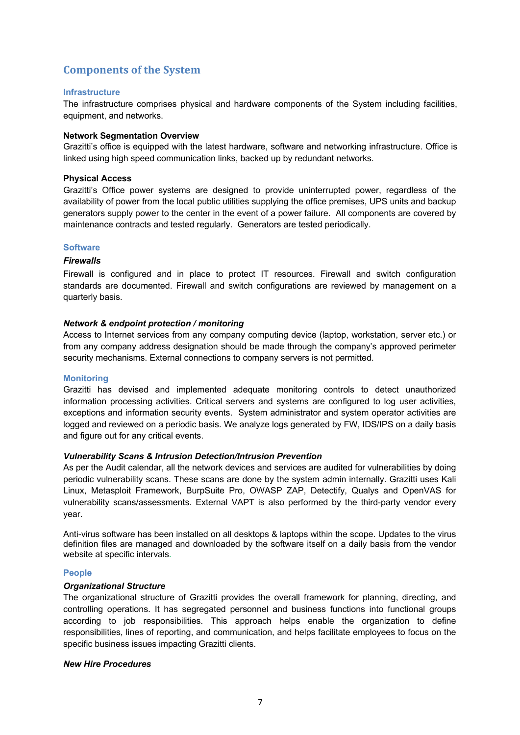## **Components of the System**

#### **Infrastructure**

The infrastructure comprises physical and hardware components of the System including facilities, equipment, and networks.

#### **Network Segmentation Overview**

Grazitti's office is equipped with the latest hardware, software and networking infrastructure. Office is linked using high speed communication links, backed up by redundant networks.

#### **Physical Access**

Grazitti's Office power systems are designed to provide uninterrupted power, regardless of the availability of power from the local public utilities supplying the office premises, UPS units and backup generators supply power to the center in the event of a power failure. All components are covered by maintenance contracts and tested regularly. Generators are tested periodically.

#### **Software**

#### *Firewalls*

Firewall is configured and in place to protect IT resources. Firewall and switch configuration standards are documented. Firewall and switch configurations are reviewed by management on a quarterly basis.

#### *Network & endpoint protection / monitoring*

Access to Internet services from any company computing device (laptop, workstation, server etc.) or from any company address designation should be made through the company's approved perimeter security mechanisms. External connections to company servers is not permitted.

#### **Monitoring**

Grazitti has devised and implemented adequate monitoring controls to detect unauthorized information processing activities. Critical servers and systems are configured to log user activities, exceptions and information security events. System administrator and system operator activities are logged and reviewed on a periodic basis. We analyze logs generated by FW, IDS/IPS on a daily basis and figure out for any critical events.

#### *Vulnerability Scans & Intrusion Detection/Intrusion Prevention*

As per the Audit calendar, all the network devices and services are audited for vulnerabilities by doing periodic vulnerability scans. These scans are done by the system admin internally. Grazitti uses Kali Linux, Metasploit Framework, BurpSuite Pro, OWASP ZAP, Detectify, Qualys and OpenVAS for vulnerability scans/assessments. External VAPT is also performed by the third-party vendor every year.

Anti-virus software has been installed on all desktops & laptops within the scope. Updates to the virus definition files are managed and downloaded by the software itself on a daily basis from the vendor website at specific intervals.

#### **People**

#### *Organizational Structure*

The organizational structure of Grazitti provides the overall framework for planning, directing, and controlling operations. It has segregated personnel and business functions into functional groups according to job responsibilities. This approach helps enable the organization to define responsibilities, lines of reporting, and communication, and helps facilitate employees to focus on the specific business issues impacting Grazitti clients.

#### *New Hire Procedures*